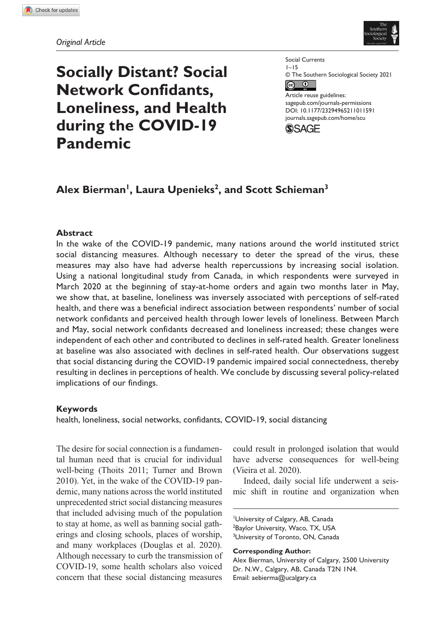

# **Socially Distant? Social Network Confidants, Loneliness, and Health during the COVID-19 Pandemic**

Social Currents 1–15 © The Southern Sociological Society 2021  $\bullet$   $\bullet$ Article reuse guidelines: [sagepub.com/journals-permissions](https://us.sagepub.com/en-us/journals-permissions)

https://doi.org/10.1177/23294965211011591 DOI: 10.1177/23294965211011591 [journals.sagepub.com/home/scu](https://journals.sagepub.com/home/scu)



# Alex Bierman<sup>1</sup>, Laura Upenieks<sup>2</sup>, and Scott Schieman<sup>3</sup>

## **Abstract**

In the wake of the COVID-19 pandemic, many nations around the world instituted strict social distancing measures. Although necessary to deter the spread of the virus, these measures may also have had adverse health repercussions by increasing social isolation. Using a national longitudinal study from Canada, in which respondents were surveyed in March 2020 at the beginning of stay-at-home orders and again two months later in May, we show that, at baseline, loneliness was inversely associated with perceptions of self-rated health, and there was a beneficial indirect association between respondents' number of social network confidants and perceived health through lower levels of loneliness. Between March and May, social network confidants decreased and loneliness increased; these changes were independent of each other and contributed to declines in self-rated health. Greater loneliness at baseline was also associated with declines in self-rated health. Our observations suggest that social distancing during the COVID-19 pandemic impaired social connectedness, thereby resulting in declines in perceptions of health. We conclude by discussing several policy-related implications of our findings.

# **Keywords**

health, loneliness, social networks, confidants, COVID-19, social distancing

The desire for social connection is a fundamental human need that is crucial for individual well-being (Thoits 2011; Turner and Brown 2010). Yet, in the wake of the COVID-19 pandemic, many nations across the world instituted unprecedented strict social distancing measures that included advising much of the population to stay at home, as well as banning social gatherings and closing schools, places of worship, and many workplaces (Douglas et al. 2020). Although necessary to curb the transmission of COVID-19, some health scholars also voiced concern that these social distancing measures

could result in prolonged isolation that would have adverse consequences for well-being (Vieira et al. 2020).

Indeed, daily social life underwent a seismic shift in routine and organization when

1 University of Calgary, AB, Canada <sup>2</sup>Baylor University, Waco, TX, USA <sup>3</sup>University of Toronto, ON, Canada

**Corresponding Author:**

Alex Bierman, University of Calgary, 2500 University Dr. N.W., Calgary, AB, Canada T2N 1N4. Email: [aebierma@ucalgary.ca](mailto:aebierma@ucalgary.ca)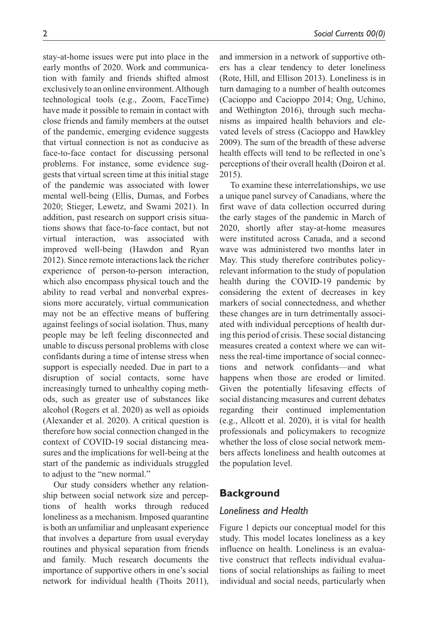stay-at-home issues were put into place in the early months of 2020. Work and communication with family and friends shifted almost exclusively to an online environment. Although technological tools (e.g., Zoom, FaceTime) have made it possible to remain in contact with close friends and family members at the outset of the pandemic, emerging evidence suggests that virtual connection is not as conducive as face-to-face contact for discussing personal problems. For instance, some evidence suggests that virtual screen time at this initial stage of the pandemic was associated with lower mental well-being (Ellis, Dumas, and Forbes 2020; Stieger, Lewetz, and Swami 2021). In addition, past research on support crisis situations shows that face-to-face contact, but not virtual interaction, was associated with improved well-being (Hawdon and Ryan 2012). Since remote interactions lack the richer experience of person-to-person interaction, which also encompass physical touch and the ability to read verbal and nonverbal expressions more accurately, virtual communication may not be an effective means of buffering against feelings of social isolation. Thus, many people may be left feeling disconnected and unable to discuss personal problems with close confidants during a time of intense stress when support is especially needed. Due in part to a disruption of social contacts, some have increasingly turned to unhealthy coping methods, such as greater use of substances like alcohol (Rogers et al. 2020) as well as opioids (Alexander et al. 2020). A critical question is therefore how social connection changed in the context of COVID-19 social distancing measures and the implications for well-being at the start of the pandemic as individuals struggled to adjust to the "new normal."

Our study considers whether any relationship between social network size and perceptions of health works through reduced loneliness as a mechanism. Imposed quarantine is both an unfamiliar and unpleasant experience that involves a departure from usual everyday routines and physical separation from friends and family. Much research documents the importance of supportive others in one's social network for individual health (Thoits 2011),

and immersion in a network of supportive others has a clear tendency to deter loneliness (Rote, Hill, and Ellison 2013). Loneliness is in turn damaging to a number of health outcomes (Cacioppo and Cacioppo 2014; Ong, Uchino, and Wethington 2016), through such mechanisms as impaired health behaviors and elevated levels of stress (Cacioppo and Hawkley 2009). The sum of the breadth of these adverse health effects will tend to be reflected in one's perceptions of their overall health (Doiron et al. 2015).

To examine these interrelationships, we use a unique panel survey of Canadians, where the first wave of data collection occurred during the early stages of the pandemic in March of 2020, shortly after stay-at-home measures were instituted across Canada, and a second wave was administered two months later in May. This study therefore contributes policyrelevant information to the study of population health during the COVID-19 pandemic by considering the extent of decreases in key markers of social connectedness, and whether these changes are in turn detrimentally associated with individual perceptions of health during this period of crisis. These social distancing measures created a context where we can witness the real-time importance of social connections and network confidants—and what happens when those are eroded or limited. Given the potentially lifesaving effects of social distancing measures and current debates regarding their continued implementation (e.g., Allcott et al. 2020), it is vital for health professionals and policymakers to recognize whether the loss of close social network members affects loneliness and health outcomes at the population level.

# **Background**

# *Loneliness and Health*

Figure 1 depicts our conceptual model for this study. This model locates loneliness as a key influence on health. Loneliness is an evaluative construct that reflects individual evaluations of social relationships as failing to meet individual and social needs, particularly when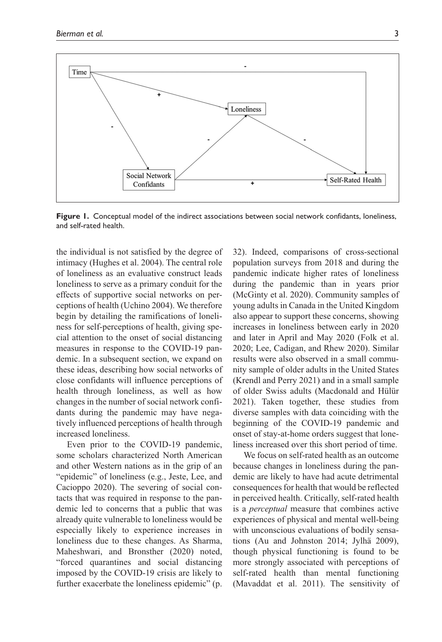

**Figure 1.** Conceptual model of the indirect associations between social network confidants, loneliness, and self-rated health.

the individual is not satisfied by the degree of intimacy (Hughes et al. 2004). The central role of loneliness as an evaluative construct leads loneliness to serve as a primary conduit for the effects of supportive social networks on perceptions of health (Uchino 2004). We therefore begin by detailing the ramifications of loneliness for self-perceptions of health, giving special attention to the onset of social distancing measures in response to the COVID-19 pandemic. In a subsequent section, we expand on these ideas, describing how social networks of close confidants will influence perceptions of health through loneliness, as well as how changes in the number of social network confidants during the pandemic may have negatively influenced perceptions of health through increased loneliness.

Even prior to the COVID-19 pandemic, some scholars characterized North American and other Western nations as in the grip of an "epidemic" of loneliness (e.g., Jeste, Lee, and Cacioppo 2020). The severing of social contacts that was required in response to the pandemic led to concerns that a public that was already quite vulnerable to loneliness would be especially likely to experience increases in loneliness due to these changes. As Sharma, Maheshwari, and Bronsther (2020) noted, "forced quarantines and social distancing imposed by the COVID-19 crisis are likely to further exacerbate the loneliness epidemic" (p. 32). Indeed, comparisons of cross-sectional population surveys from 2018 and during the pandemic indicate higher rates of loneliness during the pandemic than in years prior (McGinty et al. 2020). Community samples of young adults in Canada in the United Kingdom also appear to support these concerns, showing increases in loneliness between early in 2020 and later in April and May 2020 (Folk et al. 2020; Lee, Cadigan, and Rhew 2020). Similar results were also observed in a small community sample of older adults in the United States (Krendl and Perry 2021) and in a small sample of older Swiss adults (Macdonald and Hülür 2021). Taken together, these studies from diverse samples with data coinciding with the beginning of the COVID-19 pandemic and onset of stay-at-home orders suggest that loneliness increased over this short period of time.

We focus on self-rated health as an outcome because changes in loneliness during the pandemic are likely to have had acute detrimental consequences for health that would be reflected in perceived health. Critically, self-rated health is a *perceptual* measure that combines active experiences of physical and mental well-being with unconscious evaluations of bodily sensations (Au and Johnston 2014; Jylhä 2009), though physical functioning is found to be more strongly associated with perceptions of self-rated health than mental functioning (Mavaddat et al. 2011). The sensitivity of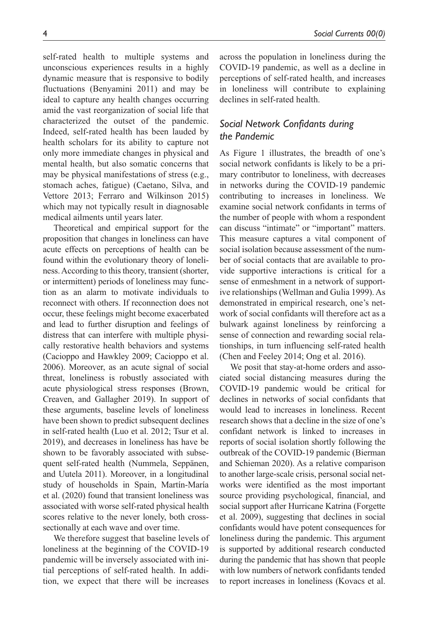self-rated health to multiple systems and unconscious experiences results in a highly dynamic measure that is responsive to bodily fluctuations (Benyamini 2011) and may be ideal to capture any health changes occurring amid the vast reorganization of social life that characterized the outset of the pandemic. Indeed, self-rated health has been lauded by health scholars for its ability to capture not only more immediate changes in physical and mental health, but also somatic concerns that may be physical manifestations of stress (e.g., stomach aches, fatigue) (Caetano, Silva, and Vettore 2013; Ferraro and Wilkinson 2015) which may not typically result in diagnosable medical ailments until years later.

Theoretical and empirical support for the proposition that changes in loneliness can have acute effects on perceptions of health can be found within the evolutionary theory of loneliness. According to this theory, transient (shorter, or intermittent) periods of loneliness may function as an alarm to motivate individuals to reconnect with others. If reconnection does not occur, these feelings might become exacerbated and lead to further disruption and feelings of distress that can interfere with multiple physically restorative health behaviors and systems (Cacioppo and Hawkley 2009; Cacioppo et al. 2006). Moreover, as an acute signal of social threat, loneliness is robustly associated with acute physiological stress responses (Brown, Creaven, and Gallagher 2019). In support of these arguments, baseline levels of loneliness have been shown to predict subsequent declines in self-rated health (Luo et al. 2012; Tsur et al. 2019), and decreases in loneliness has have be shown to be favorably associated with subsequent self-rated health (Nummela, Seppänen, and Uutela 2011). Moreover, in a longitudinal study of households in Spain, Martín-María et al. (2020) found that transient loneliness was associated with worse self-rated physical health scores relative to the never lonely, both crosssectionally at each wave and over time.

We therefore suggest that baseline levels of loneliness at the beginning of the COVID-19 pandemic will be inversely associated with initial perceptions of self-rated health. In addition, we expect that there will be increases

across the population in loneliness during the COVID-19 pandemic, as well as a decline in perceptions of self-rated health, and increases in loneliness will contribute to explaining declines in self-rated health.

# *Social Network Confidants during the Pandemic*

As Figure 1 illustrates, the breadth of one's social network confidants is likely to be a primary contributor to loneliness, with decreases in networks during the COVID-19 pandemic contributing to increases in loneliness. We examine social network confidants in terms of the number of people with whom a respondent can discuss "intimate" or "important" matters. This measure captures a vital component of social isolation because assessment of the number of social contacts that are available to provide supportive interactions is critical for a sense of enmeshment in a network of supportive relationships (Wellman and Gulia 1999). As demonstrated in empirical research, one's network of social confidants will therefore act as a bulwark against loneliness by reinforcing a sense of connection and rewarding social relationships, in turn influencing self-rated health (Chen and Feeley 2014; Ong et al. 2016).

We posit that stay-at-home orders and associated social distancing measures during the COVID-19 pandemic would be critical for declines in networks of social confidants that would lead to increases in loneliness. Recent research shows that a decline in the size of one's confidant network is linked to increases in reports of social isolation shortly following the outbreak of the COVID-19 pandemic (Bierman and Schieman 2020). As a relative comparison to another large-scale crisis, personal social networks were identified as the most important source providing psychological, financial, and social support after Hurricane Katrina (Forgette et al. 2009), suggesting that declines in social confidants would have potent consequences for loneliness during the pandemic. This argument is supported by additional research conducted during the pandemic that has shown that people with low numbers of network confidants tended to report increases in loneliness (Kovacs et al.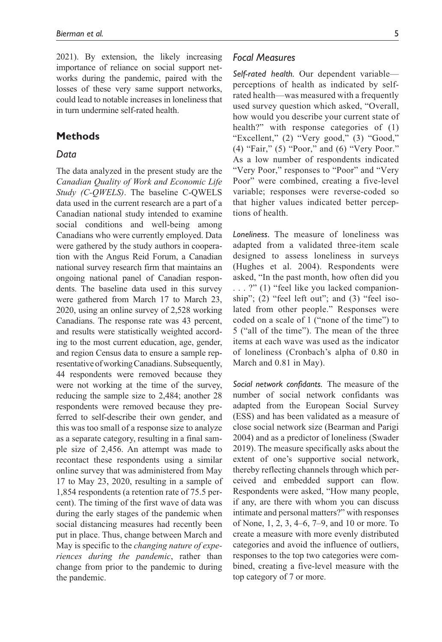2021). By extension, the likely increasing importance of reliance on social support networks during the pandemic, paired with the losses of these very same support networks, could lead to notable increases in loneliness that in turn undermine self-rated health.

# **Methods**

#### *Data*

The data analyzed in the present study are the *Canadian Quality of Work and Economic Life Study (C-QWELS)*. The baseline C-QWELS data used in the current research are a part of a Canadian national study intended to examine social conditions and well-being among Canadians who were currently employed. Data were gathered by the study authors in cooperation with the Angus Reid Forum, a Canadian national survey research firm that maintains an ongoing national panel of Canadian respondents. The baseline data used in this survey were gathered from March 17 to March 23, 2020, using an online survey of 2,528 working Canadians. The response rate was 43 percent, and results were statistically weighted according to the most current education, age, gender, and region Census data to ensure a sample representative of working Canadians. Subsequently, 44 respondents were removed because they were not working at the time of the survey, reducing the sample size to 2,484; another 28 respondents were removed because they preferred to self-describe their own gender, and this was too small of a response size to analyze as a separate category, resulting in a final sample size of 2,456. An attempt was made to recontact these respondents using a similar online survey that was administered from May 17 to May 23, 2020, resulting in a sample of 1,854 respondents (a retention rate of 75.5 percent). The timing of the first wave of data was during the early stages of the pandemic when social distancing measures had recently been put in place. Thus, change between March and May is specific to the *changing nature of experiences during the pandemic*, rather than change from prior to the pandemic to during the pandemic.

## *Focal Measures*

*Self-rated health.* Our dependent variable perceptions of health as indicated by selfrated health—was measured with a frequently used survey question which asked, "Overall, how would you describe your current state of health?" with response categories of (1) "Excellent," (2) "Very good," (3) "Good," (4) "Fair," (5) "Poor," and (6) "Very Poor." As a low number of respondents indicated "Very Poor," responses to "Poor" and "Very Poor" were combined, creating a five-level variable; responses were reverse-coded so that higher values indicated better perceptions of health.

*Loneliness.* The measure of loneliness was adapted from a validated three-item scale designed to assess loneliness in surveys (Hughes et al. 2004). Respondents were asked, "In the past month, how often did you . . . ?" (1) "feel like you lacked companionship"; (2) "feel left out"; and (3) "feel isolated from other people." Responses were coded on a scale of 1 ("none of the time") to 5 ("all of the time"). The mean of the three items at each wave was used as the indicator of loneliness (Cronbach's alpha of 0.80 in March and 0.81 in May).

*Social network confidants.* The measure of the number of social network confidants was adapted from the European Social Survey (ESS) and has been validated as a measure of close social network size (Bearman and Parigi 2004) and as a predictor of loneliness (Swader 2019). The measure specifically asks about the extent of one's supportive social network, thereby reflecting channels through which perceived and embedded support can flow. Respondents were asked, "How many people, if any, are there with whom you can discuss intimate and personal matters?" with responses of None, 1, 2, 3, 4–6, 7–9, and 10 or more. To create a measure with more evenly distributed categories and avoid the influence of outliers, responses to the top two categories were combined, creating a five-level measure with the top category of 7 or more.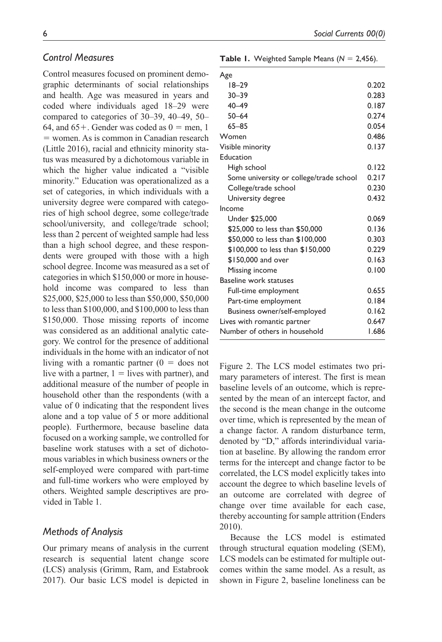## *Control Measures*

Control measures focused on prominent demographic determinants of social relationships and health. Age was measured in years and coded where individuals aged 18–29 were compared to categories of 30–39, 40–49, 50– 64, and  $65+$ . Gender was coded as  $0 =$  men, 1 = women. As is common in Canadian research (Little 2016), racial and ethnicity minority status was measured by a dichotomous variable in which the higher value indicated a "visible minority." Education was operationalized as a set of categories, in which individuals with a university degree were compared with categories of high school degree, some college/trade school/university, and college/trade school; less than 2 percent of weighted sample had less than a high school degree, and these respondents were grouped with those with a high school degree. Income was measured as a set of categories in which \$150,000 or more in household income was compared to less than \$25,000, \$25,000 to less than \$50,000, \$50,000 to less than \$100,000, and \$100,000 to less than \$150,000. Those missing reports of income was considered as an additional analytic category. We control for the presence of additional individuals in the home with an indicator of not living with a romantic partner  $(0 =$  does not live with a partner,  $1 =$ lives with partner), and additional measure of the number of people in household other than the respondents (with a value of 0 indicating that the respondent lives alone and a top value of 5 or more additional people). Furthermore, because baseline data focused on a working sample, we controlled for baseline work statuses with a set of dichotomous variables in which business owners or the self-employed were compared with part-time and full-time workers who were employed by others. Weighted sample descriptives are provided in Table 1.

# *Methods of Analysis*

Our primary means of analysis in the current research is sequential latent change score (LCS) analysis (Grimm, Ram, and Estabrook 2017). Our basic LCS model is depicted in

|  |  | <b>Table 1.</b> Weighted Sample Means ( $N = 2,456$ ). |  |  |  |  |  |
|--|--|--------------------------------------------------------|--|--|--|--|--|
|--|--|--------------------------------------------------------|--|--|--|--|--|

| Age                                     |       |
|-----------------------------------------|-------|
| $18 - 29$                               | 0.202 |
| $30 - 39$                               | 0.283 |
| $40 - 49$                               | 0.187 |
| $50 - 64$                               | 0.274 |
| $65 - 85$                               | 0.054 |
| Women                                   | 0.486 |
| Visible minority                        | 0.137 |
| Education                               |       |
| High school                             | 0.122 |
| Some university or college/trade school | 0.217 |
| College/trade school                    | 0.230 |
| University degree                       | 0.432 |
| Income                                  |       |
| Under \$25,000                          | 0.069 |
| \$25,000 to less than \$50,000          | 0.136 |
| \$50,000 to less than \$100,000         | 0.303 |
| \$100,000 to less than \$150,000        | 0.229 |
| \$150,000 and over                      | 0.163 |
| Missing income                          | 0.100 |
| <b>Baseline work statuses</b>           |       |
| Full-time employment                    | 0.655 |
| Part-time employment                    | 0.184 |
| Business owner/self-employed            | 0.162 |
| Lives with romantic partner             | 0.647 |
| Number of others in household           | 1.686 |

Figure 2. The LCS model estimates two primary parameters of interest. The first is mean baseline levels of an outcome, which is represented by the mean of an intercept factor, and the second is the mean change in the outcome over time, which is represented by the mean of a change factor. A random disturbance term, denoted by "D," affords interindividual variation at baseline. By allowing the random error terms for the intercept and change factor to be correlated, the LCS model explicitly takes into account the degree to which baseline levels of an outcome are correlated with degree of change over time available for each case, thereby accounting for sample attrition (Enders 2010).

Because the LCS model is estimated through structural equation modeling (SEM), LCS models can be estimated for multiple outcomes within the same model. As a result, as shown in Figure 2, baseline loneliness can be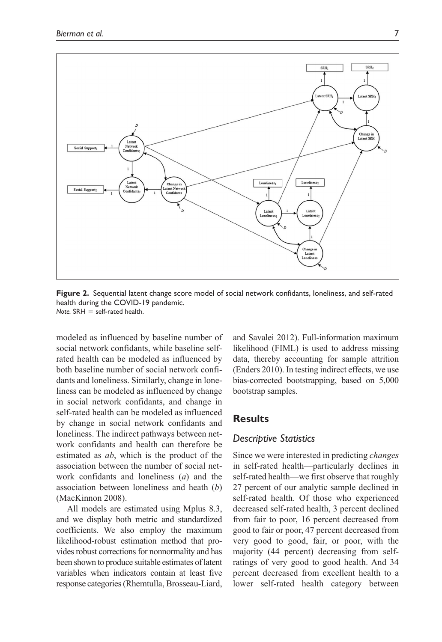

**Figure 2.** Sequential latent change score model of social network confidants, loneliness, and self-rated health during the COVID-19 pandemic. *Note.* SRH = self-rated health.

modeled as influenced by baseline number of social network confidants, while baseline selfrated health can be modeled as influenced by both baseline number of social network confidants and loneliness. Similarly, change in loneliness can be modeled as influenced by change in social network confidants, and change in self-rated health can be modeled as influenced by change in social network confidants and loneliness. The indirect pathways between network confidants and health can therefore be estimated as *ab*, which is the product of the association between the number of social network confidants and loneliness (*a*) and the association between loneliness and heath (*b*) (MacKinnon 2008).

All models are estimated using Mplus 8.3, and we display both metric and standardized coefficients. We also employ the maximum likelihood-robust estimation method that provides robust corrections for nonnormality and has been shown to produce suitable estimates of latent variables when indicators contain at least five response categories (Rhemtulla, Brosseau-Liard, and Savalei 2012). Full-information maximum likelihood (FIML) is used to address missing data, thereby accounting for sample attrition (Enders 2010). In testing indirect effects, we use bias-corrected bootstrapping, based on 5,000 bootstrap samples.

# **Results**

## *Descriptive Statistics*

Since we were interested in predicting *changes* in self-rated health—particularly declines in self-rated health—we first observe that roughly 27 percent of our analytic sample declined in self-rated health. Of those who experienced decreased self-rated health, 3 percent declined from fair to poor, 16 percent decreased from good to fair or poor, 47 percent decreased from very good to good, fair, or poor, with the majority (44 percent) decreasing from selfratings of very good to good health. And 34 percent decreased from excellent health to a lower self-rated health category between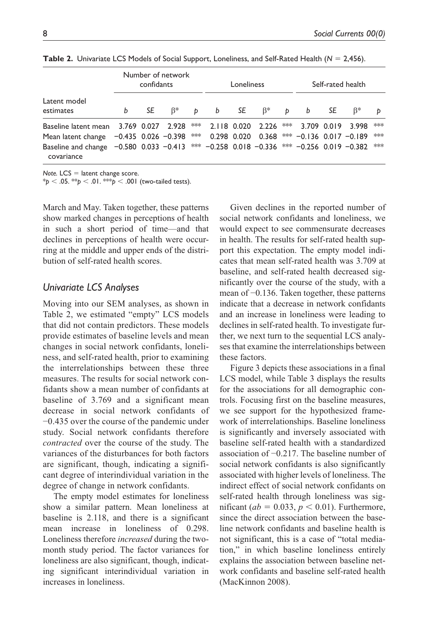|                                                                                                                   |   | confidants | Number of network |                                      | Loneliness |  |  | Self-rated health |                    |
|-------------------------------------------------------------------------------------------------------------------|---|------------|-------------------|--------------------------------------|------------|--|--|-------------------|--------------------|
| Latent model<br>estimates                                                                                         | b |            |                   | SE $\beta^*$ p b SE $\beta^*$ p b SE |            |  |  | $B^*$             | b                  |
| Baseline latent mean 3.769 0.027 2.928 ** 2.118 0.020 2.226 ** 3.709 0.019 3.998                                  |   |            |                   |                                      |            |  |  |                   | $\ast\ast\ast$     |
| Mean latent change -0.435 0.026 -0.398 *** 0.298 0.020 0.368 *** -0.136 0.017 -0.189                              |   |            |                   |                                      |            |  |  |                   | $\ast\!\ast\!\ast$ |
| Baseline and change $-0.580$ 0.033 $-0.413$ *** $-0.258$ 0.018 $-0.336$ *** $-0.256$ 0.019 $-0.382$<br>covariance |   |            |                   |                                      |            |  |  |                   | ***                |

**Table 2.** Univariate LCS Models of Social Support, Loneliness, and Self-Rated Health (*N* = 2,456).

*Note.* LCS = latent change score.

\**p* < .05. \*\**p* < .01. \*\*\**p* < .001 (two-tailed tests).

March and May. Taken together, these patterns show marked changes in perceptions of health in such a short period of time—and that declines in perceptions of health were occurring at the middle and upper ends of the distribution of self-rated health scores.

# *Univariate LCS Analyses*

Moving into our SEM analyses, as shown in Table 2, we estimated "empty" LCS models that did not contain predictors. These models provide estimates of baseline levels and mean changes in social network confidants, loneliness, and self-rated health, prior to examining the interrelationships between these three measures. The results for social network confidants show a mean number of confidants at baseline of 3.769 and a significant mean decrease in social network confidants of −0.435 over the course of the pandemic under study. Social network confidants therefore *contracted* over the course of the study. The variances of the disturbances for both factors are significant, though, indicating a significant degree of interindividual variation in the degree of change in network confidants.

The empty model estimates for loneliness show a similar pattern. Mean loneliness at baseline is 2.118, and there is a significant mean increase in loneliness of 0.298. Loneliness therefore *increased* during the twomonth study period. The factor variances for loneliness are also significant, though, indicating significant interindividual variation in increases in loneliness.

Given declines in the reported number of social network confidants and loneliness, we would expect to see commensurate decreases in health. The results for self-rated health support this expectation. The empty model indicates that mean self-rated health was 3.709 at baseline, and self-rated health decreased significantly over the course of the study, with a mean of −0.136. Taken together, these patterns indicate that a decrease in network confidants and an increase in loneliness were leading to declines in self-rated health. To investigate further, we next turn to the sequential LCS analyses that examine the interrelationships between these factors.

Figure 3 depicts these associations in a final LCS model, while Table 3 displays the results for the associations for all demographic controls. Focusing first on the baseline measures, we see support for the hypothesized framework of interrelationships. Baseline loneliness is significantly and inversely associated with baseline self-rated health with a standardized association of −0.217. The baseline number of social network confidants is also significantly associated with higher levels of loneliness. The indirect effect of social network confidants on self-rated health through loneliness was significant ( $ab = 0.033$ ,  $p < 0.01$ ). Furthermore, since the direct association between the baseline network confidants and baseline health is not significant, this is a case of "total mediation," in which baseline loneliness entirely explains the association between baseline network confidants and baseline self-rated health (MacKinnon 2008).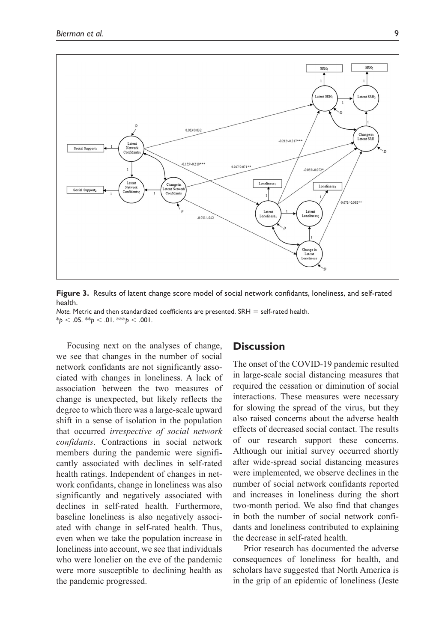



*Note.* Metric and then standardized coefficients are presented. SRH = self-rated health.  $*_{p}$  < .05.  $*_{p}$  < .01.  $*_{p}$  < .001.

Focusing next on the analyses of change, we see that changes in the number of social network confidants are not significantly associated with changes in loneliness. A lack of association between the two measures of change is unexpected, but likely reflects the degree to which there was a large-scale upward shift in a sense of isolation in the population that occurred *irrespective of social network confidants*. Contractions in social network members during the pandemic were significantly associated with declines in self-rated health ratings. Independent of changes in network confidants, change in loneliness was also significantly and negatively associated with declines in self-rated health. Furthermore, baseline loneliness is also negatively associated with change in self-rated health. Thus, even when we take the population increase in loneliness into account, we see that individuals who were lonelier on the eve of the pandemic were more susceptible to declining health as the pandemic progressed.

## **Discussion**

The onset of the COVID-19 pandemic resulted in large-scale social distancing measures that required the cessation or diminution of social interactions. These measures were necessary for slowing the spread of the virus, but they also raised concerns about the adverse health effects of decreased social contact. The results of our research support these concerns. Although our initial survey occurred shortly after wide-spread social distancing measures were implemented, we observe declines in the number of social network confidants reported and increases in loneliness during the short two-month period. We also find that changes in both the number of social network confidants and loneliness contributed to explaining the decrease in self-rated health.

Prior research has documented the adverse consequences of loneliness for health, and scholars have suggested that North America is in the grip of an epidemic of loneliness (Jeste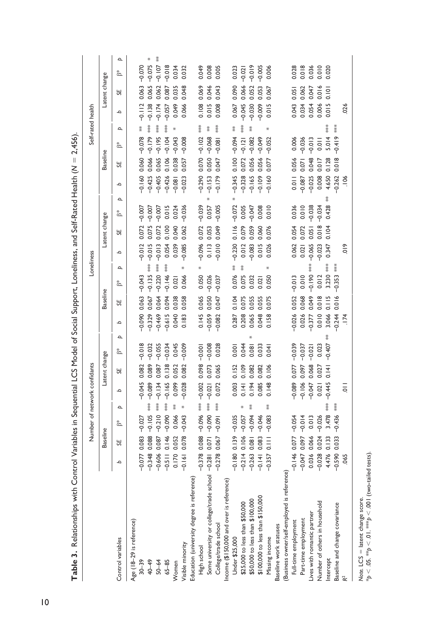|                                               |                           | Number of network confidants |          |                |               |               |          |                 |          | Loneliness |               |               |          |   |          |                 |               |     | Self-rated health |               |          |   |
|-----------------------------------------------|---------------------------|------------------------------|----------|----------------|---------------|---------------|----------|-----------------|----------|------------|---------------|---------------|----------|---|----------|-----------------|---------------|-----|-------------------|---------------|----------|---|
|                                               | Baseline                  |                              |          |                | Latent change |               |          | <b>Baseline</b> |          |            |               | Latent change |          |   |          | <b>Baseline</b> |               |     |                   | Latent change |          |   |
| Control variables                             | SE,<br>م                  | $\overline{a}$<br>š*         | م        |                | 5F            | Þ<br>ă        | م        | 5F              | ă        | Þ          | م             | 5F            | ž.       | Þ | م        | SE,             | š*            | Þ   | م                 | SE,           | ă        | Þ |
| Age (18-29 is reference)                      |                           |                              |          |                |               |               |          |                 |          |            |               |               |          |   |          |                 |               |     |                   |               |          |   |
| $30 - 39$                                     | 0.083<br>$-0.077$         | $-0.027$                     |          | $-0.045$       | 0.082         | $-0.018$      | $-0.090$ | 0.063           | $-0.043$ |            | $-0.012$      | 0.072         | $-0.007$ |   | $-0.160$ | 0.060           | $-0.078$      | $*$ | $-0.112$          | 0.063         | $-0.070$ |   |
| 40-49                                         | 0.088<br>$-0.348$         | $*$<br>$-0.105$              |          | $-0.089$       | 0.089         | $-0.032$      | $-0.329$ | 0.067           | $-0.135$ | 菜菜         | $-0.015$      | 0.075         | $-0.007$ |   | $-0.425$ | 0.066           | $-0.179$      | 菱菜  | $-0.138$          | 0.065         | $-0.075$ | ₩ |
| $50 - 64$                                     | 0.087<br>$-0.606$         | $**\ast$<br>$-0.210$         | $-0.134$ |                | 0.087         | $-0.055$      | $-0.469$ | 0.064           | $-0.220$ | ***        | $-0.013$      | 0.072         | $-0.007$ |   | $-0.405$ | 0.065           | $-0.195$      | 茶茶  | $-0.174$          | 0.062         | $-0.107$ | ≸ |
| $65 - 85$                                     | 0.146<br>$-0.511$         | $**\atop{*}$<br>$-0.090$     |          | $-0.165$       | 0.138         | $-0.034$      | $-0.615$ | 0.094           | $-0.146$ | ***        | 0.054         | 0.100         | 0.015    |   | $-0.426$ | 0.106           | $-0.104$      | **  | $-0.057$          | 0.087         | $-0.018$ |   |
| Women                                         | 0.052<br>0.170            | 菜<br>0.066                   |          | 0.099          | 0.052         | 0.045         | 0.040    | 0.038           | 0.021    |            | 0.039         | 0.040         | 0.024    |   | $-0.081$ | 0.038           | $-0.043$      | ⋇   | 0.049             | 0.035         | 0.034    |   |
| Visible minority                              | 0.078<br>$-0.161$         | ∗<br>$-0.043$                |          | $-0.028$       | 0.082         | $-0.009$      | 0.183    | 0.058           | 0.066    | ×          | $-0.085$      | 0.062         | $-0.036$ |   | $-0.023$ | 0.057           | $-0.008$      |     | 0.066             | 0.048         | 0.032    |   |
| Education (university degree is reference)    |                           |                              |          |                |               |               |          |                 |          |            |               |               |          |   |          |                 |               |     |                   |               |          |   |
| High school                                   | 0.088<br>$-0.378$         | $*$<br>$-0.096$              |          | $-0.002$       | 0.098         | $-0.001$      | 0.145    | 0.065           | 0.050    | ₩          | $-0.096$      | 0.072         | $-0.039$ |   | $-0.290$ | 0.070           | $-0.102$      | 菜菜  | 0.108             | 0.069         | 0.049    |   |
| Some university or college/trade school -0.28 | 0.071                     | ***<br>$-0.090$              | $-0.021$ | 0.073          |               | $-0.008$      | $-0.059$ | 0.050           | $-0.026$ |            | 0.113         | 0.053         | 0.057    |   | $-0.153$ | 0.050           | $-0.068$      | 菜   | 0.015             | 0.046         | 0.008    |   |
| College/trade school                          | 0.067<br>$-0.278$         | ***<br>$-0.091$              |          | 0.072          | 0.065         | 0.028         | $-0.082$ | 0.047           | $-0.037$ |            | $-0.010$      | 0.049         | $-0.005$ |   | $-0.179$ | 0.047           | $-0.081$      | *** | 0.008             | 0.043         | 0.005    |   |
| Income (\$150,000 and over is reference)      |                           |                              |          |                |               |               |          |                 |          |            |               |               |          |   |          |                 |               |     |                   |               |          |   |
| Under \$25,000                                | 0.139<br>$-0.180$         | $-0.035$                     |          | 0.003          | 0.152         | 0.001         | 0.287    | 0.104           | 0.076    | Ř          | $-0.230$      | 0.116         | $-0.072$ |   | $-0.345$ | 0.100           | $-0.094$      | Ř   | 0.067             | 0.090         | 0.023    |   |
| \$25,000 to less than \$50,000                | 0.106<br>$-0.214$         | $-0.057$                     |          | 0.109<br>0.141 |               | 0.044         | 0.208    | 0.075           | 0.075    | 荽          | 0.012         | 0.079         | 0.005    |   | $-0.328$ | 0.072           | $-0.121$      | *** | $-0.045$          | 0.066         | $-0.021$ |   |
| \$50,000 to less than \$100,000               | 0.081<br>$-0.263$         | 菜<br>$-0.094$                |          | 0.082<br>0.194 |               | 0.081         | 0.065    | 0.055           | 0.032    |            | $-0.083$      | 0.059         | $-0.047$ |   | $-0.165$ | 0.056           | $-0.082$      | 藳   | $-0.030$          | 0.052         | $-0.019$ |   |
| \$100,000 to less than \$150,000              | 0.083<br>$-0.141$         | $-0.046$                     |          | 0.085          | 0.082         | 0.033         | 0.048    | 0.055           | 0.021    |            | 0.015         | 0.060         | 0.008    |   | $-0.109$ | 0.056           | $-0.049$      |     | $-0.009$          | 0.053         | $-0.005$ |   |
| Missing income                                | $\frac{1}{2}$<br>$-0.357$ | ≸<br>$-0.083$                |          | 0.106<br>0.148 |               | 0.04          | 0.158    | 0.075           | 0.050    |            | 0.026         | 0.076         | 0.010    |   | $-0.160$ | 0.077           | $-0.052$      |     | 0.015             | 0.067         | 0.006    |   |
| Baseline work statuses                        |                           |                              |          |                |               |               |          |                 |          |            |               |               |          |   |          |                 |               |     |                   |               |          |   |
| (Business owner/self-employed is reference)   |                           |                              |          |                |               |               |          |                 |          |            |               |               |          |   |          |                 |               |     |                   |               |          |   |
| Full-time employment                          | 0.077<br>$-0.146$         | $-0.054$                     | $-0.089$ |                | 0.077         | $-0.039$      | $-0.026$ | 0.052           | $-0.013$ |            | 0.062         | 0.054         | 0.036    |   | 0.011    | 0.056           | 0.006         |     | 0.043             | 0.051         | 0.028    |   |
| Part-time employment                          | 0.097<br>$-0.047$         | $-0.014$                     | $-0.106$ | 0.097          |               | $-0.037$      | 0.026    | 0.068           | 0.010    |            | 0.021         | 0.072         | 0.010    |   | $-0.087$ | 0.07            | $-0.036$      |     | 0.034             | 0.062         | 0.018    |   |
| Lives with romantic partner                   | 0.066<br>0.036            | 0.013                        | $-0.047$ |                | 0.068         | $-0.021$      | $-0.377$ | 0.049           | $-0.190$ | ***        | $-0.065$      | 0.051         | $-0.038$ |   | $-0.025$ | 0.048           | $-0.013$      |     | 0.054             | 0.047         | 0.036    |   |
| Number of others in household                 | 0.024<br>$-0.028$         | $-0.026$                     |          | 0.021          | 0.027         | 0.023         | 0.010    | 0.018           | 0.012    |            | $-0.023$      | 0.018         | $-0.034$ |   | 0.008    | 0.017           | $\frac{1}{2}$ |     | 0.006             | 0.016         | 0.010    |   |
| Intercept                                     | 0.133<br>4.476            | ***<br>3.478                 | $-0.445$ | 0.141          |               | 菜<br>$-0.407$ | 3.066    | 0.115           | 3.230    | ***        | 0.347         | 0.104         | 0.428    | 菜 | 4.650    | 0.128           | 5.014         | 茶茶  | 0.015             | $\frac{1}{2}$ | 0.020    |   |
| Baseline and change covariance                | 0.033<br>$-0.590$         | ***<br>$-0.436$              |          |                |               |               | $-0.244$ | 0.016           | $-0.353$ | $***$      |               |               |          |   | $-0.262$ | 0.018           | $-0.419$      | *** |                   |               |          |   |
| ř                                             | 065                       |                              |          | $\overline{a}$ |               |               | .174     |                 |          |            | $\frac{9}{2}$ |               |          |   | 106      |                 |               |     | 026               |               |          |   |
|                                               |                           |                              |          |                |               |               |          |                 |          |            |               |               |          |   |          |                 |               |     |                   |               |          |   |

Table 3. Relationships with Control Variables in Sequential LCS Model of Social Support, Loneliness, and Self-Rated Health ( $N = 2,456$ ). **Table 3.** Relationships with Control Variables in Sequential LCS Model of Social Support, Loneliness, and Self-Rated Health (*N* = 2,456).

Note. LCS = latent change score.<br>\* $p < .05$ . \*\*\* $p < .01$ . \*\*\* $p < .001$  (two-tailed tests). \**p* < .05. \*\**p* < .01. \*\*\**p* < .001 (two-tailed tests).*Note.* LCS = latent change score.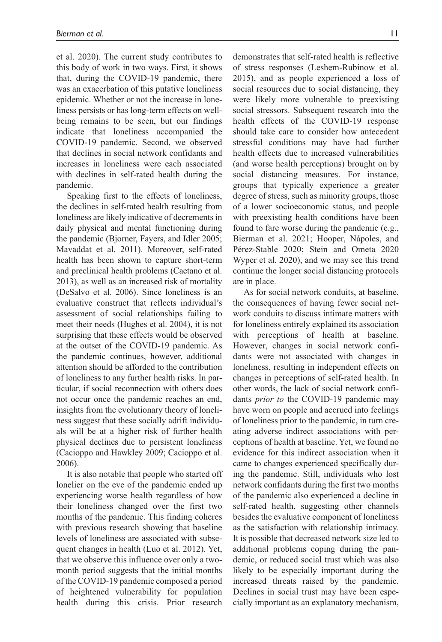et al. 2020). The current study contributes to this body of work in two ways. First, it shows that, during the COVID-19 pandemic, there was an exacerbation of this putative loneliness epidemic. Whether or not the increase in loneliness persists or has long-term effects on wellbeing remains to be seen, but our findings indicate that loneliness accompanied the COVID-19 pandemic. Second, we observed that declines in social network confidants and increases in loneliness were each associated with declines in self-rated health during the pandemic.

Speaking first to the effects of loneliness, the declines in self-rated health resulting from loneliness are likely indicative of decrements in daily physical and mental functioning during the pandemic (Bjorner, Fayers, and Idler 2005; Mavaddat et al. 2011). Moreover, self-rated health has been shown to capture short-term and preclinical health problems (Caetano et al. 2013), as well as an increased risk of mortality (DeSalvo et al. 2006). Since loneliness is an evaluative construct that reflects individual's assessment of social relationships failing to meet their needs (Hughes et al. 2004), it is not surprising that these effects would be observed at the outset of the COVID-19 pandemic. As the pandemic continues, however, additional attention should be afforded to the contribution of loneliness to any further health risks. In particular, if social reconnection with others does not occur once the pandemic reaches an end, insights from the evolutionary theory of loneliness suggest that these socially adrift individuals will be at a higher risk of further health physical declines due to persistent loneliness (Cacioppo and Hawkley 2009; Cacioppo et al. 2006).

It is also notable that people who started off lonelier on the eve of the pandemic ended up experiencing worse health regardless of how their loneliness changed over the first two months of the pandemic. This finding coheres with previous research showing that baseline levels of loneliness are associated with subsequent changes in health (Luo et al. 2012). Yet, that we observe this influence over only a twomonth period suggests that the initial months of the COVID-19 pandemic composed a period of heightened vulnerability for population health during this crisis. Prior research

demonstrates that self-rated health is reflective of stress responses (Leshem-Rubinow et al. 2015), and as people experienced a loss of social resources due to social distancing, they were likely more vulnerable to preexisting social stressors. Subsequent research into the health effects of the COVID-19 response should take care to consider how antecedent stressful conditions may have had further health effects due to increased vulnerabilities (and worse health perceptions) brought on by social distancing measures. For instance, groups that typically experience a greater degree of stress, such as minority groups, those of a lower socioeconomic status, and people with preexisting health conditions have been found to fare worse during the pandemic (e.g., Bierman et al. 2021; Hooper, Nápoles, and Pérez-Stable 2020; Stein and Ometa 2020 Wyper et al. 2020), and we may see this trend continue the longer social distancing protocols are in place.

As for social network conduits, at baseline, the consequences of having fewer social network conduits to discuss intimate matters with for loneliness entirely explained its association with perceptions of health at baseline. However, changes in social network confidants were not associated with changes in loneliness, resulting in independent effects on changes in perceptions of self-rated health. In other words, the lack of social network confidants *prior to* the COVID-19 pandemic may have worn on people and accrued into feelings of loneliness prior to the pandemic, in turn creating adverse indirect associations with perceptions of health at baseline. Yet, we found no evidence for this indirect association when it came to changes experienced specifically during the pandemic. Still, individuals who lost network confidants during the first two months of the pandemic also experienced a decline in self-rated health, suggesting other channels besides the evaluative component of loneliness as the satisfaction with relationship intimacy. It is possible that decreased network size led to additional problems coping during the pandemic, or reduced social trust which was also likely to be especially important during the increased threats raised by the pandemic. Declines in social trust may have been especially important as an explanatory mechanism,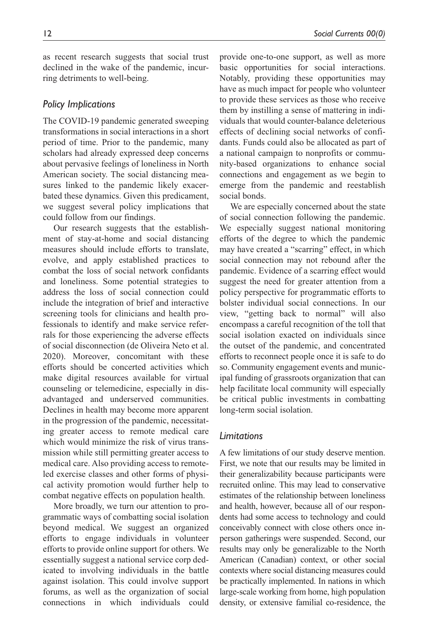as recent research suggests that social trust declined in the wake of the pandemic, incurring detriments to well-being.

# *Policy Implications*

The COVID-19 pandemic generated sweeping transformations in social interactions in a short period of time. Prior to the pandemic, many scholars had already expressed deep concerns about pervasive feelings of loneliness in North American society. The social distancing measures linked to the pandemic likely exacerbated these dynamics. Given this predicament, we suggest several policy implications that could follow from our findings.

Our research suggests that the establishment of stay-at-home and social distancing measures should include efforts to translate, evolve, and apply established practices to combat the loss of social network confidants and loneliness. Some potential strategies to address the loss of social connection could include the integration of brief and interactive screening tools for clinicians and health professionals to identify and make service referrals for those experiencing the adverse effects of social disconnection (de Oliveira Neto et al. 2020). Moreover, concomitant with these efforts should be concerted activities which make digital resources available for virtual counseling or telemedicine, especially in disadvantaged and underserved communities. Declines in health may become more apparent in the progression of the pandemic, necessitating greater access to remote medical care which would minimize the risk of virus transmission while still permitting greater access to medical care. Also providing access to remoteled exercise classes and other forms of physical activity promotion would further help to combat negative effects on population health.

More broadly, we turn our attention to programmatic ways of combatting social isolation beyond medical. We suggest an organized efforts to engage individuals in volunteer efforts to provide online support for others. We essentially suggest a national service corp dedicated to involving individuals in the battle against isolation. This could involve support forums, as well as the organization of social connections in which individuals could provide one-to-one support, as well as more basic opportunities for social interactions. Notably, providing these opportunities may have as much impact for people who volunteer to provide these services as those who receive them by instilling a sense of mattering in individuals that would counter-balance deleterious effects of declining social networks of confidants. Funds could also be allocated as part of a national campaign to nonprofits or community-based organizations to enhance social connections and engagement as we begin to emerge from the pandemic and reestablish social bonds.

We are especially concerned about the state of social connection following the pandemic. We especially suggest national monitoring efforts of the degree to which the pandemic may have created a "scarring" effect, in which social connection may not rebound after the pandemic. Evidence of a scarring effect would suggest the need for greater attention from a policy perspective for programmatic efforts to bolster individual social connections. In our view, "getting back to normal" will also encompass a careful recognition of the toll that social isolation exacted on individuals since the outset of the pandemic, and concentrated efforts to reconnect people once it is safe to do so. Community engagement events and municipal funding of grassroots organization that can help facilitate local community will especially be critical public investments in combatting long-term social isolation.

# *Limitations*

A few limitations of our study deserve mention. First, we note that our results may be limited in their generalizability because participants were recruited online. This may lead to conservative estimates of the relationship between loneliness and health, however, because all of our respondents had some access to technology and could conceivably connect with close others once inperson gatherings were suspended. Second, our results may only be generalizable to the North American (Canadian) context, or other social contexts where social distancing measures could be practically implemented. In nations in which large-scale working from home, high population density, or extensive familial co-residence, the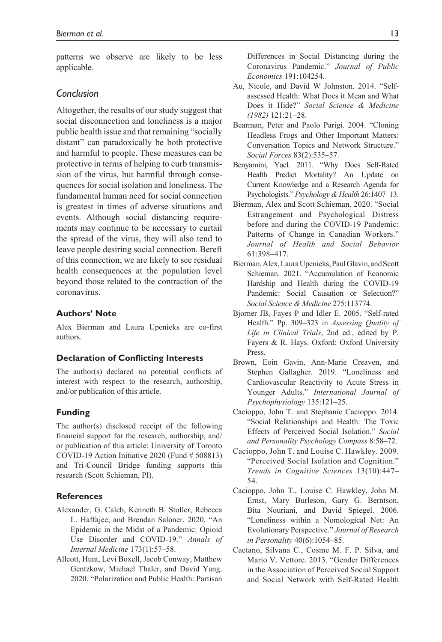patterns we observe are likely to be less applicable.

## *Conclusion*

Altogether, the results of our study suggest that social disconnection and loneliness is a major public health issue and that remaining "socially distant" can paradoxically be both protective and harmful to people. These measures can be protective in terms of helping to curb transmission of the virus, but harmful through consequences for social isolation and loneliness. The fundamental human need for social connection is greatest in times of adverse situations and events. Although social distancing requirements may continue to be necessary to curtail the spread of the virus, they will also tend to leave people desiring social connection. Bereft of this connection, we are likely to see residual health consequences at the population level beyond those related to the contraction of the coronavirus.

#### **Authors' Note**

Alex Bierman and Laura Upenieks are co-first authors.

#### **Declaration of Conflicting Interests**

The author(s) declared no potential conflicts of interest with respect to the research, authorship, and/or publication of this article.

#### **Funding**

The author(s) disclosed receipt of the following financial support for the research, authorship, and/ or publication of this article: University of Toronto COVID-19 Action Initiative 2020 (Fund # 508813) and Tri-Council Bridge funding supports this research (Scott Schieman, PI).

#### **References**

- Alexander, G. Caleb, Kenneth B. Stoller, Rebecca L. Haffajee, and Brendan Saloner. 2020. "An Epidemic in the Midst of a Pandemic: Opioid Use Disorder and COVID-19." *Annals of Internal Medicine* 173(1):57–58.
- Allcott, Hunt, Levi Boxell, Jacob Conway, Matthew Gentzkow, Michael Thaler, and David Yang. 2020. "Polarization and Public Health: Partisan

Differences in Social Distancing during the Coronavirus Pandemic." *Journal of Public Economics* 191:104254.

- Au, Nicole, and David W Johnston. 2014. "Selfassessed Health: What Does it Mean and What Does it Hide?" *Social Science & Medicine (1982)* 121:21–28.
- Bearman, Peter and Paolo Parigi. 2004. "Cloning Headless Frogs and Other Important Matters: Conversation Topics and Network Structure." *Social Forces* 83(2):535–57.
- Benyamini, Yael. 2011. "Why Does Self-Rated Health Predict Mortality? An Update on Current Knowledge and a Research Agenda for Psychologists." *Psychology & Health* 26:1407–13.
- Bierman, Alex and Scott Schieman. 2020. "Social Estrangement and Psychological Distress before and during the COVID-19 Pandemic: Patterns of Change in Canadian Workers." *Journal of Health and Social Behavior* 61:398–417.
- Bierman, Alex, Laura Upenieks, Paul Glavin, and Scott Schieman. 2021. "Accumulation of Economic Hardship and Health during the COVID-19 Pandemic: Social Causation or Selection?" *Social Science & Medicine* 275:113774.
- Bjorner JB, Fayes P and Idler E. 2005. "Self-rated Health." Pp. 309–323 in *Assessing Quality of Life in Clinical Trials*, 2nd ed., edited by P. Fayers & R. Hays. Oxford: Oxford University Press.
- Brown, Eoin Gavin, Ann-Marie Creaven, and Stephen Gallagher. 2019. "Loneliness and Cardiovascular Reactivity to Acute Stress in Younger Adults." *International Journal of Psychophysiology* 135:121–25.
- Cacioppo, John T. and Stephanie Cacioppo. 2014. "Social Relationships and Health: The Toxic Effects of Perceived Social Isolation." *Social and Personality Psychology Compass* 8:58–72.
- Cacioppo, John T. and Louise C. Hawkley. 2009. "Perceived Social Isolation and Cognition." *Trends in Cognitive Sciences* 13(10):447– 54.
- Cacioppo, John T., Louise C. Hawkley, John M. Ernst, Mary Burleson, Gary G. Berntson, Bita Nouriani, and David Spiegel. 2006. "Loneliness within a Nomological Net: An Evolutionary Perspective." *Journal of Research in Personality* 40(6):1054–85.
- Caetano, Silvana C., Cosme M. F. P. Silva, and Mario V. Vettore. 2013. "Gender Differences in the Association of Perceived Social Support and Social Network with Self-Rated Health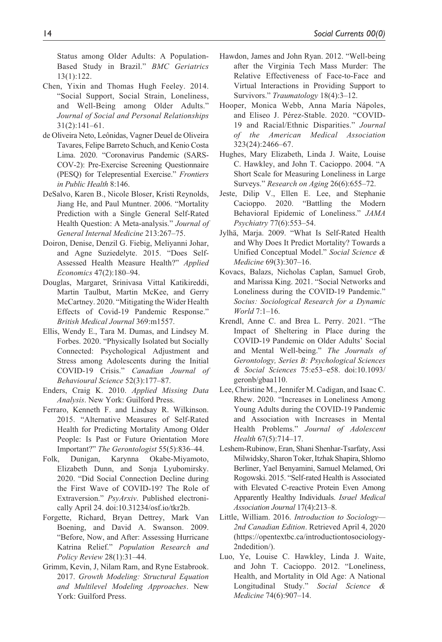Status among Older Adults: A Population-Based Study in Brazil." *BMC Geriatrics* 13(1):122.

- Chen, Yixin and Thomas Hugh Feeley. 2014. "Social Support, Social Strain, Loneliness, and Well-Being among Older Adults." *Journal of Social and Personal Relationships* 31(2):141–61.
- de Oliveira Neto, Leônidas, Vagner Deuel de Oliveira Tavares, Felipe Barreto Schuch, and Kenio Costa Lima. 2020. "Coronavirus Pandemic (SARS-COV-2): Pre-Exercise Screening Questionnaire (PESQ) for Telepresential Exercise." *Frontiers in Public Health* 8:146.
- DeSalvo, Karen B., Nicole Bloser, Kristi Reynolds, Jiang He, and Paul Muntner. 2006. "Mortality Prediction with a Single General Self-Rated Health Question: A Meta-analysis." *Journal of General Internal Medicine* 213:267–75.
- Doiron, Denise, Denzil G. Fiebig, Meliyanni Johar, and Agne Suziedelyte. 2015. "Does Self-Assessed Health Measure Health?" *Applied Economics* 47(2):180–94.
- Douglas, Margaret, Srinivasa Vittal Katikireddi, Martin Taulbut, Martin McKee, and Gerry McCartney. 2020. "Mitigating the Wider Health Effects of Covid-19 Pandemic Response." *British Medical Journal* 369:m1557.
- Ellis, Wendy E., Tara M. Dumas, and Lindsey M. Forbes. 2020. "Physically Isolated but Socially Connected: Psychological Adjustment and Stress among Adolescents during the Initial COVID-19 Crisis." *Canadian Journal of Behavioural Science* 52(3):177–87.
- Enders, Craig K. 2010. *Applied Missing Data Analysis*. New York: Guilford Press.
- Ferraro, Kenneth F. and Lindsay R. Wilkinson. 2015. "Alternative Measures of Self-Rated Health for Predicting Mortality Among Older People: Is Past or Future Orientation More Important?" *The Gerontologist* 55(5):836–44.
- Folk, Dunigan, Karynna Okabe-Miyamoto, Elizabeth Dunn, and Sonja Lyubomirsky. 2020. "Did Social Connection Decline during the First Wave of COVID-19? The Role of Extraversion." *PsyArxiv*. Published electronically April 24. doi:10.31234/osf.io/tkr2b.
- Forgette, Richard, Bryan Dettrey, Mark Van Boening, and David A. Swanson. 2009. "Before, Now, and After: Assessing Hurricane Katrina Relief." *Population Research and Policy Review* 28(1):31–44.
- Grimm, Kevin, J, Nilam Ram, and Ryne Estabrook. 2017. *Growth Modeling: Structural Equation and Multilevel Modeling Approaches*. New York: Guilford Press.
- Hawdon, James and John Ryan. 2012. "Well-being after the Virginia Tech Mass Murder: The Relative Effectiveness of Face-to-Face and Virtual Interactions in Providing Support to Survivors." *Traumatology* 18(4):3–12.
- Hooper, Monica Webb, Anna María Nápoles, and Eliseo J. Pérez-Stable. 2020. "COVID-19 and Racial/Ethnic Disparities." *Journal of the American Medical Association* 323(24):2466–67.
- Hughes, Mary Elizabeth, Linda J. Waite, Louise C. Hawkley, and John T. Cacioppo. 2004. "A Short Scale for Measuring Loneliness in Large Surveys." *Research on Aging* 26(6):655–72.
- Jeste, Dilip V., Ellen E. Lee, and Stephanie Cacioppo. 2020. "Battling the Modern Behavioral Epidemic of Loneliness." *JAMA Psychiatry* 77(6):553–54.
- Jylhä, Marja. 2009. "What Is Self-Rated Health and Why Does It Predict Mortality? Towards a Unified Conceptual Model." *Social Science & Medicine* 69(3):307–16.
- Kovacs, Balazs, Nicholas Caplan, Samuel Grob, and Marissa King. 2021. "Social Networks and Loneliness during the COVID-19 Pandemic." *Socius: Sociological Research for a Dynamic World* 7:1–16.
- Krendl, Anne C. and Brea L. Perry. 2021. "The Impact of Sheltering in Place during the COVID-19 Pandemic on Older Adults' Social and Mental Well-being." *The Journals of Gerontology, Series B: Psychological Sciences & Social Sciences* 75:e53–e58. doi:10.1093/ geronb/gbaa110.
- Lee, Christine M., Jennifer M. Cadigan, and Isaac C. Rhew. 2020. "Increases in Loneliness Among Young Adults during the COVID-19 Pandemic and Association with Increases in Mental Health Problems." *Journal of Adolescent Health* 67(5):714–17.
- Leshem-Rubinow, Eran, Shani Shenhar-Tsarfaty, Assi Milwidsky, Sharon Toker, Itzhak Shapira, Shlomo Berliner, Yael Benyamini, Samuel Melamed, Ori Rogowski. 2015. "Self-rated Health is Associated with Elevated C-reactive Protein Even Among Apparently Healthy Individuals. *Israel Medical Association Journal* 17(4):213–8.
- Little, William. 2016. *Introduction to Sociology— 2nd Canadian Edition*. Retrieved April 4, 2020 ([https://opentextbc.ca/introductiontosociology-](https://opentextbc.ca/introductiontosociology2ndedition/)[2ndedition/](https://opentextbc.ca/introductiontosociology2ndedition/)).
- Luo, Ye, Louise C. Hawkley, Linda J. Waite, and John T. Cacioppo. 2012. "Loneliness, Health, and Mortality in Old Age: A National Longitudinal Study." *Social Science & Medicine* 74(6):907–14.